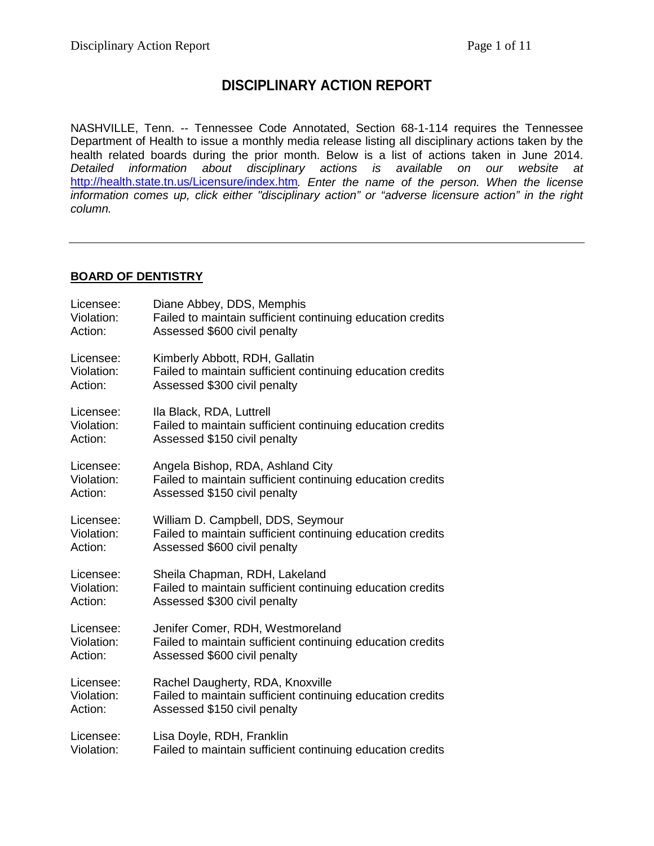# **DISCIPLINARY ACTION REPORT**

NASHVILLE, Tenn. -- Tennessee Code Annotated, Section 68-1-114 requires the Tennessee Department of Health to issue a monthly media release listing all disciplinary actions taken by the health related boards during the prior month. Below is a list of actions taken in June 2014. *Detailed information about disciplinary actions is available on our website at*  <http://health.state.tn.us/Licensure/index.htm>*. Enter the name of the person. When the license information comes up, click either "disciplinary action" or "adverse licensure action" in the right column.*

### **BOARD OF DENTISTRY**

| Licensee:  | Diane Abbey, DDS, Memphis                                  |
|------------|------------------------------------------------------------|
| Violation: | Failed to maintain sufficient continuing education credits |
| Action:    | Assessed \$600 civil penalty                               |
| Licensee:  | Kimberly Abbott, RDH, Gallatin                             |
| Violation: | Failed to maintain sufficient continuing education credits |
| Action:    | Assessed \$300 civil penalty                               |
| Licensee:  | Ila Black, RDA, Luttrell                                   |
| Violation: | Failed to maintain sufficient continuing education credits |
| Action:    | Assessed \$150 civil penalty                               |
| Licensee:  | Angela Bishop, RDA, Ashland City                           |
| Violation: | Failed to maintain sufficient continuing education credits |
| Action:    | Assessed \$150 civil penalty                               |
| Licensee:  | William D. Campbell, DDS, Seymour                          |
| Violation: | Failed to maintain sufficient continuing education credits |
| Action:    | Assessed \$600 civil penalty                               |
| Licensee:  | Sheila Chapman, RDH, Lakeland                              |
| Violation: | Failed to maintain sufficient continuing education credits |
| Action:    | Assessed \$300 civil penalty                               |
| Licensee:  | Jenifer Comer, RDH, Westmoreland                           |
| Violation: | Failed to maintain sufficient continuing education credits |
| Action:    | Assessed \$600 civil penalty                               |
| Licensee:  | Rachel Daugherty, RDA, Knoxville                           |
| Violation: | Failed to maintain sufficient continuing education credits |
| Action:    | Assessed \$150 civil penalty                               |
| Licensee:  | Lisa Doyle, RDH, Franklin                                  |
| Violation: | Failed to maintain sufficient continuing education credits |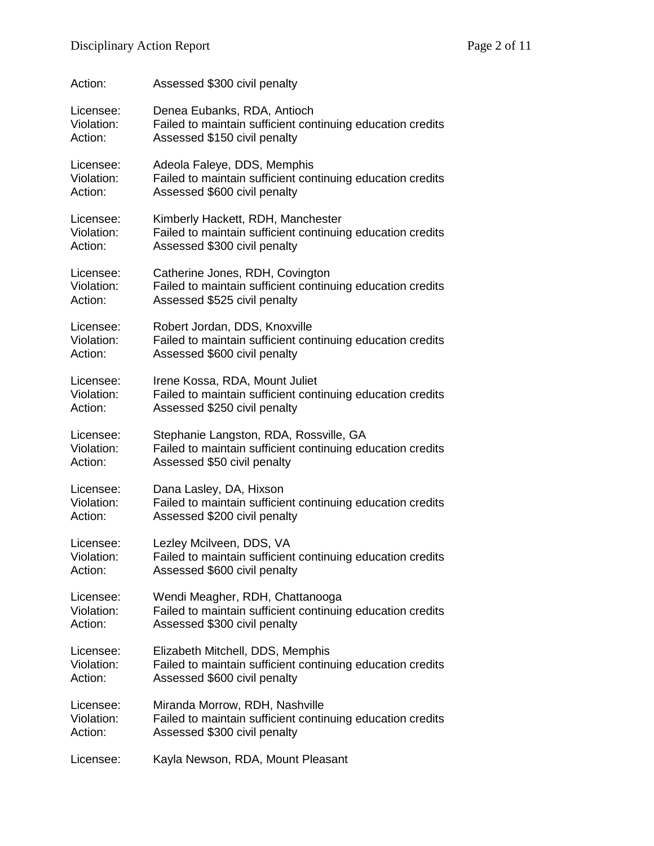| Action:    | Assessed \$300 civil penalty                               |
|------------|------------------------------------------------------------|
| Licensee:  | Denea Eubanks, RDA, Antioch                                |
| Violation: | Failed to maintain sufficient continuing education credits |
| Action:    | Assessed \$150 civil penalty                               |
| Licensee:  | Adeola Faleye, DDS, Memphis                                |
| Violation: | Failed to maintain sufficient continuing education credits |
| Action:    | Assessed \$600 civil penalty                               |
| Licensee:  | Kimberly Hackett, RDH, Manchester                          |
| Violation: | Failed to maintain sufficient continuing education credits |
| Action:    | Assessed \$300 civil penalty                               |
| Licensee:  | Catherine Jones, RDH, Covington                            |
| Violation: | Failed to maintain sufficient continuing education credits |
| Action:    | Assessed \$525 civil penalty                               |
| Licensee:  | Robert Jordan, DDS, Knoxville                              |
| Violation: | Failed to maintain sufficient continuing education credits |
| Action:    | Assessed \$600 civil penalty                               |
| Licensee:  | Irene Kossa, RDA, Mount Juliet                             |
| Violation: | Failed to maintain sufficient continuing education credits |
| Action:    | Assessed \$250 civil penalty                               |
| Licensee:  | Stephanie Langston, RDA, Rossville, GA                     |
| Violation: | Failed to maintain sufficient continuing education credits |
| Action:    | Assessed \$50 civil penalty                                |
| Licensee:  | Dana Lasley, DA, Hixson                                    |
| Violation: | Failed to maintain sufficient continuing education credits |
| Action:    | Assessed \$200 civil penalty                               |
| Licensee:  | Lezley Mcilveen, DDS, VA                                   |
| Violation: | Failed to maintain sufficient continuing education credits |
| Action:    | Assessed \$600 civil penalty                               |
| Licensee:  | Wendi Meagher, RDH, Chattanooga                            |
| Violation: | Failed to maintain sufficient continuing education credits |
| Action:    | Assessed \$300 civil penalty                               |
| Licensee:  | Elizabeth Mitchell, DDS, Memphis                           |
| Violation: | Failed to maintain sufficient continuing education credits |
| Action:    | Assessed \$600 civil penalty                               |
| Licensee:  | Miranda Morrow, RDH, Nashville                             |
| Violation: | Failed to maintain sufficient continuing education credits |
| Action:    | Assessed \$300 civil penalty                               |
| Licensee:  | Kayla Newson, RDA, Mount Pleasant                          |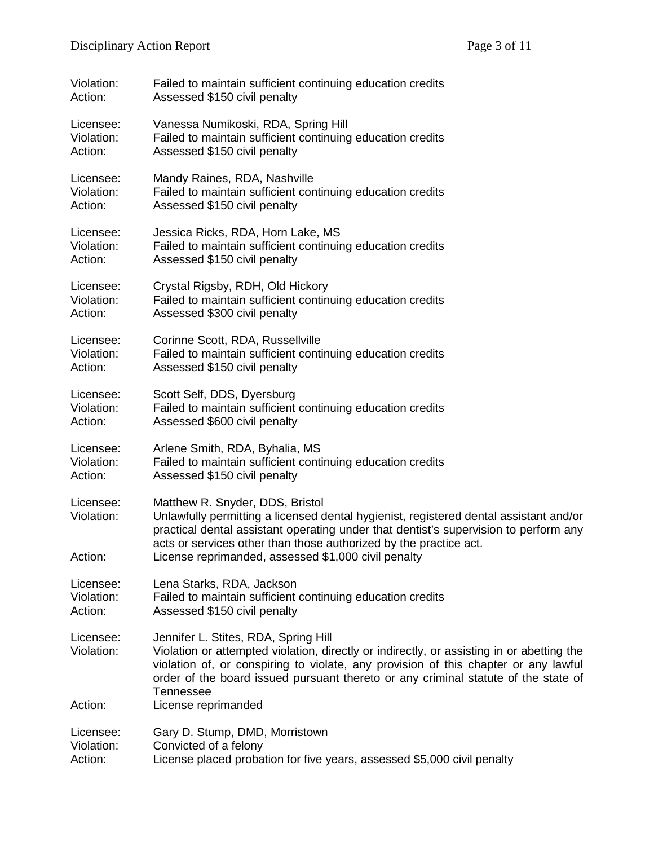| Violation:                         | Failed to maintain sufficient continuing education credits                                                                                                                                                                                                                                                                                   |
|------------------------------------|----------------------------------------------------------------------------------------------------------------------------------------------------------------------------------------------------------------------------------------------------------------------------------------------------------------------------------------------|
| Action:                            | Assessed \$150 civil penalty                                                                                                                                                                                                                                                                                                                 |
| Licensee:                          | Vanessa Numikoski, RDA, Spring Hill                                                                                                                                                                                                                                                                                                          |
| Violation:                         | Failed to maintain sufficient continuing education credits                                                                                                                                                                                                                                                                                   |
| Action:                            | Assessed \$150 civil penalty                                                                                                                                                                                                                                                                                                                 |
| Licensee:                          | Mandy Raines, RDA, Nashville                                                                                                                                                                                                                                                                                                                 |
| Violation:                         | Failed to maintain sufficient continuing education credits                                                                                                                                                                                                                                                                                   |
| Action:                            | Assessed \$150 civil penalty                                                                                                                                                                                                                                                                                                                 |
| Licensee:                          | Jessica Ricks, RDA, Horn Lake, MS                                                                                                                                                                                                                                                                                                            |
| Violation:                         | Failed to maintain sufficient continuing education credits                                                                                                                                                                                                                                                                                   |
| Action:                            | Assessed \$150 civil penalty                                                                                                                                                                                                                                                                                                                 |
| Licensee:                          | Crystal Rigsby, RDH, Old Hickory                                                                                                                                                                                                                                                                                                             |
| Violation:                         | Failed to maintain sufficient continuing education credits                                                                                                                                                                                                                                                                                   |
| Action:                            | Assessed \$300 civil penalty                                                                                                                                                                                                                                                                                                                 |
| Licensee:                          | Corinne Scott, RDA, Russellville                                                                                                                                                                                                                                                                                                             |
| Violation:                         | Failed to maintain sufficient continuing education credits                                                                                                                                                                                                                                                                                   |
| Action:                            | Assessed \$150 civil penalty                                                                                                                                                                                                                                                                                                                 |
| Licensee:                          | Scott Self, DDS, Dyersburg                                                                                                                                                                                                                                                                                                                   |
| Violation:                         | Failed to maintain sufficient continuing education credits                                                                                                                                                                                                                                                                                   |
| Action:                            | Assessed \$600 civil penalty                                                                                                                                                                                                                                                                                                                 |
| Licensee:                          | Arlene Smith, RDA, Byhalia, MS                                                                                                                                                                                                                                                                                                               |
| Violation:                         | Failed to maintain sufficient continuing education credits                                                                                                                                                                                                                                                                                   |
| Action:                            | Assessed \$150 civil penalty                                                                                                                                                                                                                                                                                                                 |
| Licensee:<br>Violation:<br>Action: | Matthew R. Snyder, DDS, Bristol<br>Unlawfully permitting a licensed dental hygienist, registered dental assistant and/or<br>practical dental assistant operating under that dentist's supervision to perform any<br>acts or services other than those authorized by the practice act.<br>License reprimanded, assessed \$1,000 civil penalty |
| Licensee:                          | Lena Starks, RDA, Jackson                                                                                                                                                                                                                                                                                                                    |
| Violation:                         | Failed to maintain sufficient continuing education credits                                                                                                                                                                                                                                                                                   |
| Action:                            | Assessed \$150 civil penalty                                                                                                                                                                                                                                                                                                                 |
| Licensee:<br>Violation:            | Jennifer L. Stites, RDA, Spring Hill<br>Violation or attempted violation, directly or indirectly, or assisting in or abetting the<br>violation of, or conspiring to violate, any provision of this chapter or any lawful<br>order of the board issued pursuant thereto or any criminal statute of the state of<br><b>Tennessee</b>           |
| Action:                            | License reprimanded                                                                                                                                                                                                                                                                                                                          |
| Licensee:                          | Gary D. Stump, DMD, Morristown                                                                                                                                                                                                                                                                                                               |
| Violation:                         | Convicted of a felony                                                                                                                                                                                                                                                                                                                        |
| Action:                            | License placed probation for five years, assessed \$5,000 civil penalty                                                                                                                                                                                                                                                                      |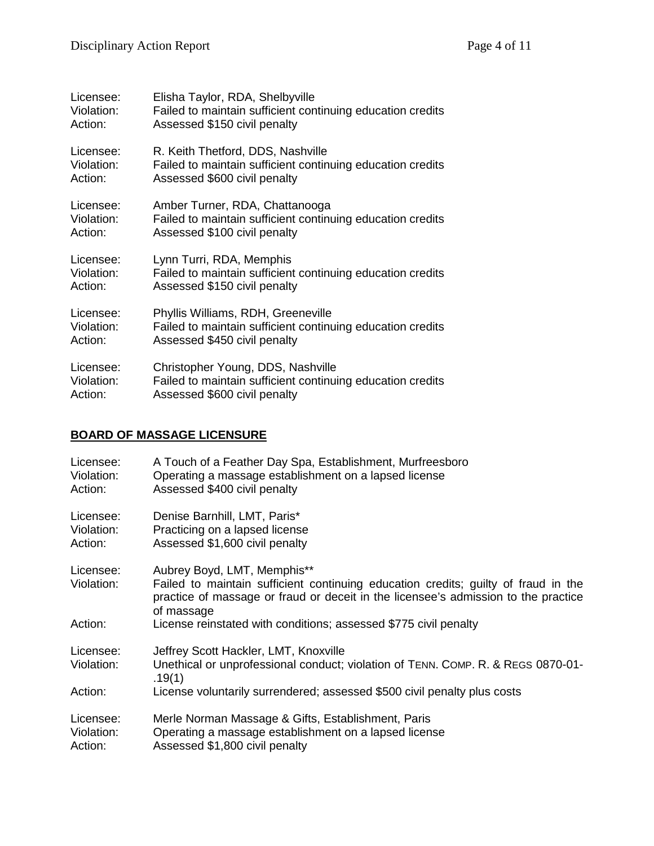| Licensee:  | Elisha Taylor, RDA, Shelbyville                            |
|------------|------------------------------------------------------------|
| Violation: | Failed to maintain sufficient continuing education credits |
| Action:    | Assessed \$150 civil penalty                               |
| Licensee:  | R. Keith Thetford, DDS, Nashville                          |
| Violation: | Failed to maintain sufficient continuing education credits |
| Action:    | Assessed \$600 civil penalty                               |
| Licensee:  | Amber Turner, RDA, Chattanooga                             |
| Violation: | Failed to maintain sufficient continuing education credits |
| Action:    | Assessed \$100 civil penalty                               |
| Licensee:  | Lynn Turri, RDA, Memphis                                   |
| Violation: | Failed to maintain sufficient continuing education credits |
| Action:    | Assessed \$150 civil penalty                               |
| Licensee:  | Phyllis Williams, RDH, Greeneville                         |
| Violation: | Failed to maintain sufficient continuing education credits |
| Action:    | Assessed \$450 civil penalty                               |
| Licensee:  | Christopher Young, DDS, Nashville                          |
| Violation: | Failed to maintain sufficient continuing education credits |
| Action:    | Assessed \$600 civil penalty                               |

# **BOARD OF MASSAGE LICENSURE**

| Licensee:<br>Violation:<br>Action: | A Touch of a Feather Day Spa, Establishment, Murfreesboro<br>Operating a massage establishment on a lapsed license<br>Assessed \$400 civil penalty                                                                    |
|------------------------------------|-----------------------------------------------------------------------------------------------------------------------------------------------------------------------------------------------------------------------|
| Licensee:<br>Violation:<br>Action: | Denise Barnhill, LMT, Paris*<br>Practicing on a lapsed license<br>Assessed \$1,600 civil penalty                                                                                                                      |
| Licensee:<br>Violation:            | Aubrey Boyd, LMT, Memphis**<br>Failed to maintain sufficient continuing education credits; guilty of fraud in the<br>practice of massage or fraud or deceit in the licensee's admission to the practice<br>of massage |
| Action:                            | License reinstated with conditions; assessed \$775 civil penalty                                                                                                                                                      |
| Licensee:                          | Jeffrey Scott Hackler, LMT, Knoxville                                                                                                                                                                                 |
| Violation:                         | Unethical or unprofessional conduct; violation of TENN. COMP. R. & REGS 0870-01-<br>.19(1)                                                                                                                            |
| Action:                            | License voluntarily surrendered; assessed \$500 civil penalty plus costs                                                                                                                                              |
| Licensee:<br>Violation:<br>Action: | Merle Norman Massage & Gifts, Establishment, Paris<br>Operating a massage establishment on a lapsed license<br>Assessed \$1,800 civil penalty                                                                         |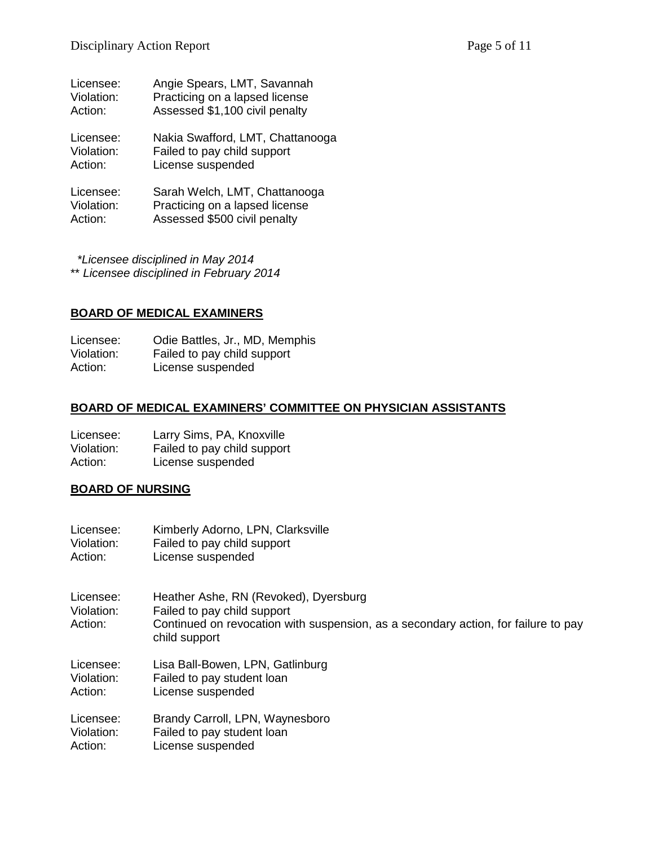| Licensee:  | Angie Spears, LMT, Savannah      |
|------------|----------------------------------|
| Violation: | Practicing on a lapsed license   |
| Action:    | Assessed \$1,100 civil penalty   |
| Licensee:  | Nakia Swafford, LMT, Chattanooga |
| Violation: | Failed to pay child support      |
| Action:    | License suspended                |
| Licensee:  | Sarah Welch, LMT, Chattanooga    |
| Violation: | Practicing on a lapsed license   |
| Action:    | Assessed \$500 civil penalty     |

 *\*Licensee disciplined in May 2014* \*\* *Licensee disciplined in February 2014*

### **BOARD OF MEDICAL EXAMINERS**

Licensee: Odie Battles, Jr., MD, Memphis<br>Violation: Failed to pay child support Failed to pay child support Action: License suspended

## **BOARD OF MEDICAL EXAMINERS' COMMITTEE ON PHYSICIAN ASSISTANTS**

| Licensee:  | Larry Sims, PA, Knoxville   |
|------------|-----------------------------|
| Violation: | Failed to pay child support |
| Action:    | License suspended           |

#### **BOARD OF NURSING**

| Licensee:                          | Kimberly Adorno, LPN, Clarksville                                                                                                                                           |
|------------------------------------|-----------------------------------------------------------------------------------------------------------------------------------------------------------------------------|
| Violation:                         | Failed to pay child support                                                                                                                                                 |
| Action:                            | License suspended                                                                                                                                                           |
| Licensee:<br>Violation:<br>Action: | Heather Ashe, RN (Revoked), Dyersburg<br>Failed to pay child support<br>Continued on revocation with suspension, as a secondary action, for failure to pay<br>child support |
| Licensee:                          | Lisa Ball-Bowen, LPN, Gatlinburg                                                                                                                                            |
| Violation:                         | Failed to pay student loan                                                                                                                                                  |
| Action:                            | License suspended                                                                                                                                                           |
| Licensee:                          | Brandy Carroll, LPN, Waynesboro                                                                                                                                             |
| Violation:                         | Failed to pay student loan                                                                                                                                                  |
| Action:                            | License suspended                                                                                                                                                           |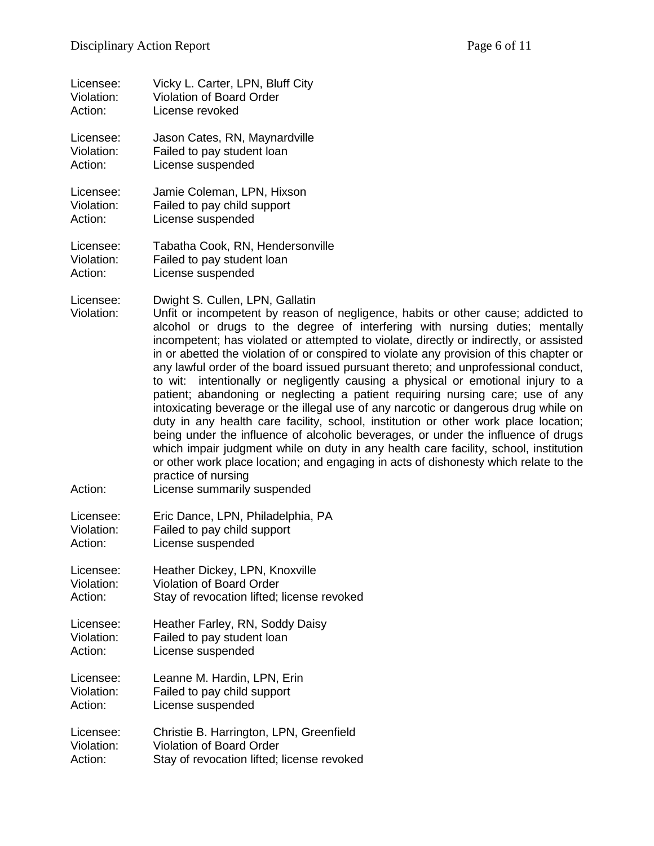| Licensee:                          | Vicky L. Carter, LPN, Bluff City                                                                                                                                                                                                                                                                                                                                                                                                                                                                                                                                                                                                                                                                                                                                                                                                                                                                                                                                                                                                                                                                                                                                |
|------------------------------------|-----------------------------------------------------------------------------------------------------------------------------------------------------------------------------------------------------------------------------------------------------------------------------------------------------------------------------------------------------------------------------------------------------------------------------------------------------------------------------------------------------------------------------------------------------------------------------------------------------------------------------------------------------------------------------------------------------------------------------------------------------------------------------------------------------------------------------------------------------------------------------------------------------------------------------------------------------------------------------------------------------------------------------------------------------------------------------------------------------------------------------------------------------------------|
| Violation:                         | <b>Violation of Board Order</b>                                                                                                                                                                                                                                                                                                                                                                                                                                                                                                                                                                                                                                                                                                                                                                                                                                                                                                                                                                                                                                                                                                                                 |
| Action:                            | License revoked                                                                                                                                                                                                                                                                                                                                                                                                                                                                                                                                                                                                                                                                                                                                                                                                                                                                                                                                                                                                                                                                                                                                                 |
| Licensee:                          | Jason Cates, RN, Maynardville                                                                                                                                                                                                                                                                                                                                                                                                                                                                                                                                                                                                                                                                                                                                                                                                                                                                                                                                                                                                                                                                                                                                   |
| Violation:                         | Failed to pay student loan                                                                                                                                                                                                                                                                                                                                                                                                                                                                                                                                                                                                                                                                                                                                                                                                                                                                                                                                                                                                                                                                                                                                      |
| Action:                            | License suspended                                                                                                                                                                                                                                                                                                                                                                                                                                                                                                                                                                                                                                                                                                                                                                                                                                                                                                                                                                                                                                                                                                                                               |
| Licensee:                          | Jamie Coleman, LPN, Hixson                                                                                                                                                                                                                                                                                                                                                                                                                                                                                                                                                                                                                                                                                                                                                                                                                                                                                                                                                                                                                                                                                                                                      |
| Violation:                         | Failed to pay child support                                                                                                                                                                                                                                                                                                                                                                                                                                                                                                                                                                                                                                                                                                                                                                                                                                                                                                                                                                                                                                                                                                                                     |
| Action:                            | License suspended                                                                                                                                                                                                                                                                                                                                                                                                                                                                                                                                                                                                                                                                                                                                                                                                                                                                                                                                                                                                                                                                                                                                               |
| Licensee:                          | Tabatha Cook, RN, Hendersonville                                                                                                                                                                                                                                                                                                                                                                                                                                                                                                                                                                                                                                                                                                                                                                                                                                                                                                                                                                                                                                                                                                                                |
| Violation:                         | Failed to pay student loan                                                                                                                                                                                                                                                                                                                                                                                                                                                                                                                                                                                                                                                                                                                                                                                                                                                                                                                                                                                                                                                                                                                                      |
| Action:                            | License suspended                                                                                                                                                                                                                                                                                                                                                                                                                                                                                                                                                                                                                                                                                                                                                                                                                                                                                                                                                                                                                                                                                                                                               |
| Licensee:<br>Violation:<br>Action: | Dwight S. Cullen, LPN, Gallatin<br>Unfit or incompetent by reason of negligence, habits or other cause; addicted to<br>alcohol or drugs to the degree of interfering with nursing duties; mentally<br>incompetent; has violated or attempted to violate, directly or indirectly, or assisted<br>in or abetted the violation of or conspired to violate any provision of this chapter or<br>any lawful order of the board issued pursuant thereto; and unprofessional conduct,<br>intentionally or negligently causing a physical or emotional injury to a<br>to wit:<br>patient; abandoning or neglecting a patient requiring nursing care; use of any<br>intoxicating beverage or the illegal use of any narcotic or dangerous drug while on<br>duty in any health care facility, school, institution or other work place location;<br>being under the influence of alcoholic beverages, or under the influence of drugs<br>which impair judgment while on duty in any health care facility, school, institution<br>or other work place location; and engaging in acts of dishonesty which relate to the<br>practice of nursing<br>License summarily suspended |
| Licensee:                          | Eric Dance, LPN, Philadelphia, PA                                                                                                                                                                                                                                                                                                                                                                                                                                                                                                                                                                                                                                                                                                                                                                                                                                                                                                                                                                                                                                                                                                                               |
| Violation:                         | Failed to pay child support                                                                                                                                                                                                                                                                                                                                                                                                                                                                                                                                                                                                                                                                                                                                                                                                                                                                                                                                                                                                                                                                                                                                     |
| Action:                            | License suspended                                                                                                                                                                                                                                                                                                                                                                                                                                                                                                                                                                                                                                                                                                                                                                                                                                                                                                                                                                                                                                                                                                                                               |
| Licensee:                          | Heather Dickey, LPN, Knoxville                                                                                                                                                                                                                                                                                                                                                                                                                                                                                                                                                                                                                                                                                                                                                                                                                                                                                                                                                                                                                                                                                                                                  |
| Violation:                         | <b>Violation of Board Order</b>                                                                                                                                                                                                                                                                                                                                                                                                                                                                                                                                                                                                                                                                                                                                                                                                                                                                                                                                                                                                                                                                                                                                 |
| Action:                            | Stay of revocation lifted; license revoked                                                                                                                                                                                                                                                                                                                                                                                                                                                                                                                                                                                                                                                                                                                                                                                                                                                                                                                                                                                                                                                                                                                      |
| Licensee:                          | Heather Farley, RN, Soddy Daisy                                                                                                                                                                                                                                                                                                                                                                                                                                                                                                                                                                                                                                                                                                                                                                                                                                                                                                                                                                                                                                                                                                                                 |
| Violation:                         | Failed to pay student loan                                                                                                                                                                                                                                                                                                                                                                                                                                                                                                                                                                                                                                                                                                                                                                                                                                                                                                                                                                                                                                                                                                                                      |
| Action:                            | License suspended                                                                                                                                                                                                                                                                                                                                                                                                                                                                                                                                                                                                                                                                                                                                                                                                                                                                                                                                                                                                                                                                                                                                               |
| Licensee:                          | Leanne M. Hardin, LPN, Erin                                                                                                                                                                                                                                                                                                                                                                                                                                                                                                                                                                                                                                                                                                                                                                                                                                                                                                                                                                                                                                                                                                                                     |
| Violation:                         | Failed to pay child support                                                                                                                                                                                                                                                                                                                                                                                                                                                                                                                                                                                                                                                                                                                                                                                                                                                                                                                                                                                                                                                                                                                                     |
| Action:                            | License suspended                                                                                                                                                                                                                                                                                                                                                                                                                                                                                                                                                                                                                                                                                                                                                                                                                                                                                                                                                                                                                                                                                                                                               |
| Licensee:                          | Christie B. Harrington, LPN, Greenfield                                                                                                                                                                                                                                                                                                                                                                                                                                                                                                                                                                                                                                                                                                                                                                                                                                                                                                                                                                                                                                                                                                                         |
| Violation:                         | <b>Violation of Board Order</b>                                                                                                                                                                                                                                                                                                                                                                                                                                                                                                                                                                                                                                                                                                                                                                                                                                                                                                                                                                                                                                                                                                                                 |
| Action:                            | Stay of revocation lifted; license revoked                                                                                                                                                                                                                                                                                                                                                                                                                                                                                                                                                                                                                                                                                                                                                                                                                                                                                                                                                                                                                                                                                                                      |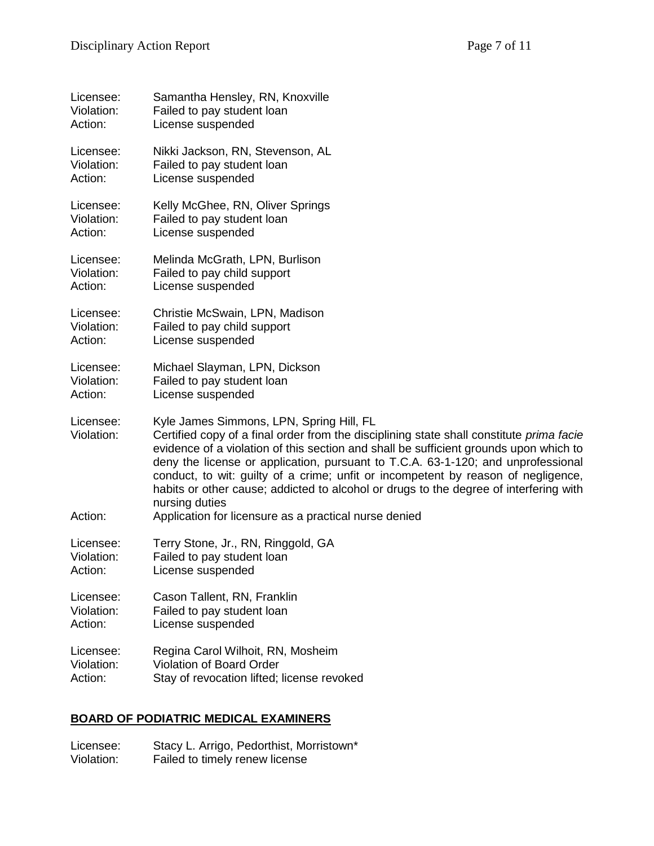| Licensee:                          | Samantha Hensley, RN, Knoxville                                                                                                                                                                                                                                                                                                                                                                                                                                                                                                                                            |
|------------------------------------|----------------------------------------------------------------------------------------------------------------------------------------------------------------------------------------------------------------------------------------------------------------------------------------------------------------------------------------------------------------------------------------------------------------------------------------------------------------------------------------------------------------------------------------------------------------------------|
| Violation:                         | Failed to pay student loan                                                                                                                                                                                                                                                                                                                                                                                                                                                                                                                                                 |
| Action:                            | License suspended                                                                                                                                                                                                                                                                                                                                                                                                                                                                                                                                                          |
| Licensee:                          | Nikki Jackson, RN, Stevenson, AL                                                                                                                                                                                                                                                                                                                                                                                                                                                                                                                                           |
| Violation:                         | Failed to pay student loan                                                                                                                                                                                                                                                                                                                                                                                                                                                                                                                                                 |
| Action:                            | License suspended                                                                                                                                                                                                                                                                                                                                                                                                                                                                                                                                                          |
| Licensee:                          | Kelly McGhee, RN, Oliver Springs                                                                                                                                                                                                                                                                                                                                                                                                                                                                                                                                           |
| Violation:                         | Failed to pay student loan                                                                                                                                                                                                                                                                                                                                                                                                                                                                                                                                                 |
| Action:                            | License suspended                                                                                                                                                                                                                                                                                                                                                                                                                                                                                                                                                          |
| Licensee:                          | Melinda McGrath, LPN, Burlison                                                                                                                                                                                                                                                                                                                                                                                                                                                                                                                                             |
| Violation:                         | Failed to pay child support                                                                                                                                                                                                                                                                                                                                                                                                                                                                                                                                                |
| Action:                            | License suspended                                                                                                                                                                                                                                                                                                                                                                                                                                                                                                                                                          |
| Licensee:                          | Christie McSwain, LPN, Madison                                                                                                                                                                                                                                                                                                                                                                                                                                                                                                                                             |
| Violation:                         | Failed to pay child support                                                                                                                                                                                                                                                                                                                                                                                                                                                                                                                                                |
| Action:                            | License suspended                                                                                                                                                                                                                                                                                                                                                                                                                                                                                                                                                          |
| Licensee:                          | Michael Slayman, LPN, Dickson                                                                                                                                                                                                                                                                                                                                                                                                                                                                                                                                              |
| Violation:                         | Failed to pay student loan                                                                                                                                                                                                                                                                                                                                                                                                                                                                                                                                                 |
| Action:                            | License suspended                                                                                                                                                                                                                                                                                                                                                                                                                                                                                                                                                          |
| Licensee:<br>Violation:<br>Action: | Kyle James Simmons, LPN, Spring Hill, FL<br>Certified copy of a final order from the disciplining state shall constitute prima facie<br>evidence of a violation of this section and shall be sufficient grounds upon which to<br>deny the license or application, pursuant to T.C.A. 63-1-120; and unprofessional<br>conduct, to wit: guilty of a crime; unfit or incompetent by reason of negligence,<br>habits or other cause; addicted to alcohol or drugs to the degree of interfering with<br>nursing duties<br>Application for licensure as a practical nurse denied |
|                                    |                                                                                                                                                                                                                                                                                                                                                                                                                                                                                                                                                                            |
| Licensee:                          | Terry Stone, Jr., RN, Ringgold, GA                                                                                                                                                                                                                                                                                                                                                                                                                                                                                                                                         |
| Violation:                         | Failed to pay student loan                                                                                                                                                                                                                                                                                                                                                                                                                                                                                                                                                 |
| Action:                            | License suspended                                                                                                                                                                                                                                                                                                                                                                                                                                                                                                                                                          |
| Licensee:                          | Cason Tallent, RN, Franklin                                                                                                                                                                                                                                                                                                                                                                                                                                                                                                                                                |
| Violation:                         | Failed to pay student loan                                                                                                                                                                                                                                                                                                                                                                                                                                                                                                                                                 |
| Action:                            | License suspended                                                                                                                                                                                                                                                                                                                                                                                                                                                                                                                                                          |
| Licensee:                          | Regina Carol Wilhoit, RN, Mosheim                                                                                                                                                                                                                                                                                                                                                                                                                                                                                                                                          |
| Violation:                         | <b>Violation of Board Order</b>                                                                                                                                                                                                                                                                                                                                                                                                                                                                                                                                            |
| Action:                            | Stay of revocation lifted; license revoked                                                                                                                                                                                                                                                                                                                                                                                                                                                                                                                                 |

# **BOARD OF PODIATRIC MEDICAL EXAMINERS**

Licensee: Stacy L. Arrigo, Pedorthist, Morristown\* Violation: Failed to timely renew license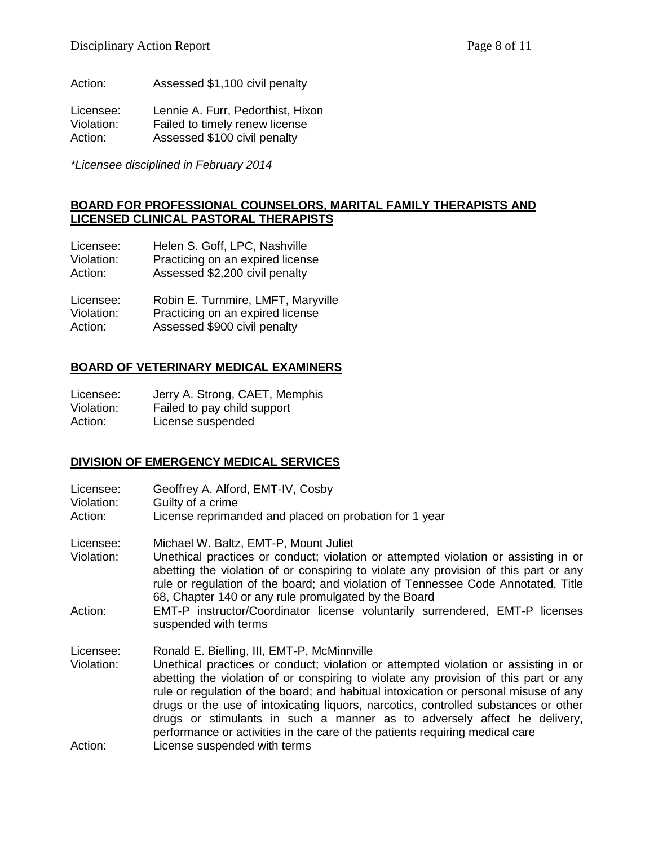Action: Assessed \$1,100 civil penalty

Licensee: Lennie A. Furr, Pedorthist, Hixon<br>Violation: Failed to timely renew license Violation: Failed to timely renew license<br>Action: Assessed \$100 civil penalty Assessed \$100 civil penalty

*\*Licensee disciplined in February 2014*

### **BOARD FOR PROFESSIONAL COUNSELORS, MARITAL FAMILY THERAPISTS AND LICENSED CLINICAL PASTORAL THERAPISTS**

| Licensee:  | Helen S. Goff, LPC, Nashville      |
|------------|------------------------------------|
| Violation: | Practicing on an expired license   |
| Action:    | Assessed \$2,200 civil penalty     |
| Licensee:  | Robin E. Turnmire, LMFT, Maryville |
| Violation: | Practicing on an expired license   |

Action: Assessed \$900 civil penalty

### **BOARD OF VETERINARY MEDICAL EXAMINERS**

| Licensee:  | Jerry A. Strong, CAET, Memphis |
|------------|--------------------------------|
| Violation: | Failed to pay child support    |
| Action:    | License suspended              |

### **DIVISION OF EMERGENCY MEDICAL SERVICES**

| Licensee:<br>Violation:<br>Action: | Geoffrey A. Alford, EMT-IV, Cosby<br>Guilty of a crime<br>License reprimanded and placed on probation for 1 year                                                                                                                                                                                                                                                                                                                                                                                                                                                      |
|------------------------------------|-----------------------------------------------------------------------------------------------------------------------------------------------------------------------------------------------------------------------------------------------------------------------------------------------------------------------------------------------------------------------------------------------------------------------------------------------------------------------------------------------------------------------------------------------------------------------|
| Licensee:<br>Violation:            | Michael W. Baltz, EMT-P, Mount Juliet<br>Unethical practices or conduct; violation or attempted violation or assisting in or<br>abetting the violation of or conspiring to violate any provision of this part or any<br>rule or regulation of the board; and violation of Tennessee Code Annotated, Title<br>68, Chapter 140 or any rule promulgated by the Board                                                                                                                                                                                                     |
| Action:                            | EMT-P instructor/Coordinator license voluntarily surrendered, EMT-P licenses<br>suspended with terms                                                                                                                                                                                                                                                                                                                                                                                                                                                                  |
| Licensee:<br>Violation:            | Ronald E. Bielling, III, EMT-P, McMinnville<br>Unethical practices or conduct; violation or attempted violation or assisting in or<br>abetting the violation of or conspiring to violate any provision of this part or any<br>rule or regulation of the board; and habitual intoxication or personal misuse of any<br>drugs or the use of intoxicating liquors, narcotics, controlled substances or other<br>drugs or stimulants in such a manner as to adversely affect he delivery,<br>performance or activities in the care of the patients requiring medical care |
| Action:                            | License suspended with terms                                                                                                                                                                                                                                                                                                                                                                                                                                                                                                                                          |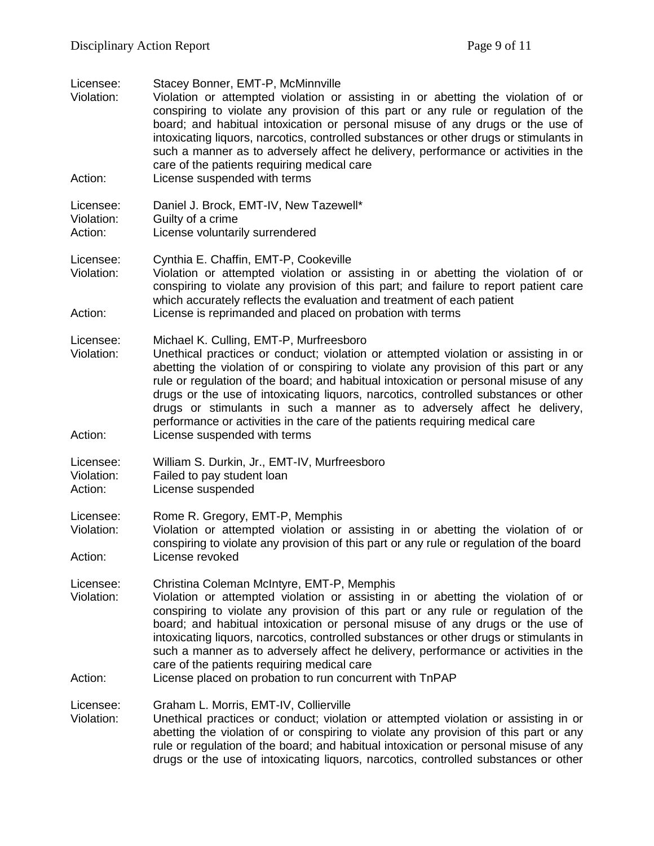| Licensee:<br>Violation:<br>Action: | Stacey Bonner, EMT-P, McMinnville<br>Violation or attempted violation or assisting in or abetting the violation of or<br>conspiring to violate any provision of this part or any rule or regulation of the<br>board; and habitual intoxication or personal misuse of any drugs or the use of<br>intoxicating liquors, narcotics, controlled substances or other drugs or stimulants in<br>such a manner as to adversely affect he delivery, performance or activities in the<br>care of the patients requiring medical care<br>License suspended with terms                                       |
|------------------------------------|---------------------------------------------------------------------------------------------------------------------------------------------------------------------------------------------------------------------------------------------------------------------------------------------------------------------------------------------------------------------------------------------------------------------------------------------------------------------------------------------------------------------------------------------------------------------------------------------------|
|                                    |                                                                                                                                                                                                                                                                                                                                                                                                                                                                                                                                                                                                   |
| Licensee:<br>Violation:<br>Action: | Daniel J. Brock, EMT-IV, New Tazewell*<br>Guilty of a crime<br>License voluntarily surrendered                                                                                                                                                                                                                                                                                                                                                                                                                                                                                                    |
| Licensee:<br>Violation:<br>Action: | Cynthia E. Chaffin, EMT-P, Cookeville<br>Violation or attempted violation or assisting in or abetting the violation of or<br>conspiring to violate any provision of this part; and failure to report patient care<br>which accurately reflects the evaluation and treatment of each patient<br>License is reprimanded and placed on probation with terms                                                                                                                                                                                                                                          |
| Licensee:<br>Violation:<br>Action: | Michael K. Culling, EMT-P, Murfreesboro<br>Unethical practices or conduct; violation or attempted violation or assisting in or<br>abetting the violation of or conspiring to violate any provision of this part or any<br>rule or regulation of the board; and habitual intoxication or personal misuse of any<br>drugs or the use of intoxicating liquors, narcotics, controlled substances or other<br>drugs or stimulants in such a manner as to adversely affect he delivery,<br>performance or activities in the care of the patients requiring medical care<br>License suspended with terms |
| Licensee:<br>Violation:<br>Action: | William S. Durkin, Jr., EMT-IV, Murfreesboro<br>Failed to pay student loan<br>License suspended                                                                                                                                                                                                                                                                                                                                                                                                                                                                                                   |
| Licensee:<br>Violation:            | Rome R. Gregory, EMT-P, Memphis<br>Violation or attempted violation or assisting in or abetting the violation of or<br>conspiring to violate any provision of this part or any rule or regulation of the board                                                                                                                                                                                                                                                                                                                                                                                    |
| Action:                            | License revoked                                                                                                                                                                                                                                                                                                                                                                                                                                                                                                                                                                                   |
| Licensee:<br>Violation:<br>Action: | Christina Coleman McIntyre, EMT-P, Memphis<br>Violation or attempted violation or assisting in or abetting the violation of or<br>conspiring to violate any provision of this part or any rule or regulation of the<br>board; and habitual intoxication or personal misuse of any drugs or the use of<br>intoxicating liquors, narcotics, controlled substances or other drugs or stimulants in<br>such a manner as to adversely affect he delivery, performance or activities in the<br>care of the patients requiring medical care<br>License placed on probation to run concurrent with TnPAP  |
| Licensee:<br>Violation:            | Graham L. Morris, EMT-IV, Collierville<br>Unethical practices or conduct; violation or attempted violation or assisting in or<br>abetting the violation of or conspiring to violate any provision of this part or any<br>rule or regulation of the board; and habitual intoxication or personal misuse of any<br>drugs or the use of intoxicating liquors, narcotics, controlled substances or other                                                                                                                                                                                              |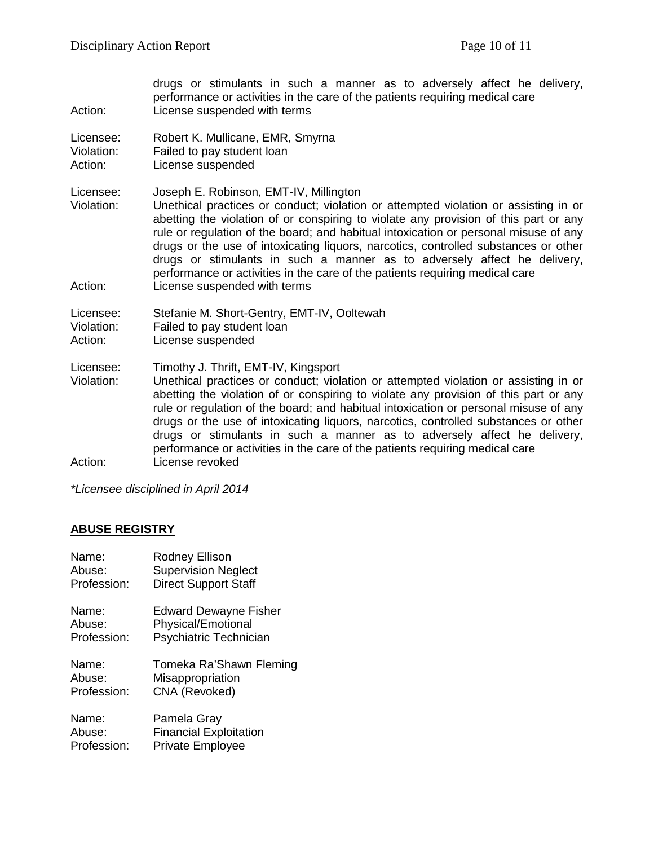drugs or stimulants in such a manner as to adversely affect he delivery, performance or activities in the care of the patients requiring medical care Action: License suspended with terms

Licensee: Robert K. Mullicane, EMR, Smyrna Violation: Failed to pay student loan Action: License suspended

Licensee: Joseph E. Robinson, EMT-IV, Millington<br>Violation: Unethical practices or conduct: violation

Unethical practices or conduct; violation or attempted violation or assisting in or abetting the violation of or conspiring to violate any provision of this part or any rule or regulation of the board; and habitual intoxication or personal misuse of any drugs or the use of intoxicating liquors, narcotics, controlled substances or other drugs or stimulants in such a manner as to adversely affect he delivery, performance or activities in the care of the patients requiring medical care Action: License suspended with terms

Licensee: Stefanie M. Short-Gentry, EMT-IV, Ooltewah

- Violation: Failed to pay student loan
- Action: License suspended

Licensee: Timothy J. Thrift, EMT-IV, Kingsport

Violation: Unethical practices or conduct; violation or attempted violation or assisting in or abetting the violation of or conspiring to violate any provision of this part or any rule or regulation of the board; and habitual intoxication or personal misuse of any drugs or the use of intoxicating liquors, narcotics, controlled substances or other drugs or stimulants in such a manner as to adversely affect he delivery, performance or activities in the care of the patients requiring medical care Action: License revoked

*\*Licensee disciplined in April 2014*

### **ABUSE REGISTRY**

| Name:       | Rodney Ellison                |
|-------------|-------------------------------|
| Abuse:      | <b>Supervision Neglect</b>    |
| Profession: | <b>Direct Support Staff</b>   |
| Name:       | <b>Edward Dewayne Fisher</b>  |
| Abuse:      | Physical/Emotional            |
| Profession: | Psychiatric Technician        |
| Name:       | Tomeka Ra'Shawn Fleming       |
| Abuse:      | Misappropriation              |
| Profession: | CNA (Revoked)                 |
| Name:       | Pamela Gray                   |
| Abuse:      | <b>Financial Exploitation</b> |
| Profession: | <b>Private Employee</b>       |